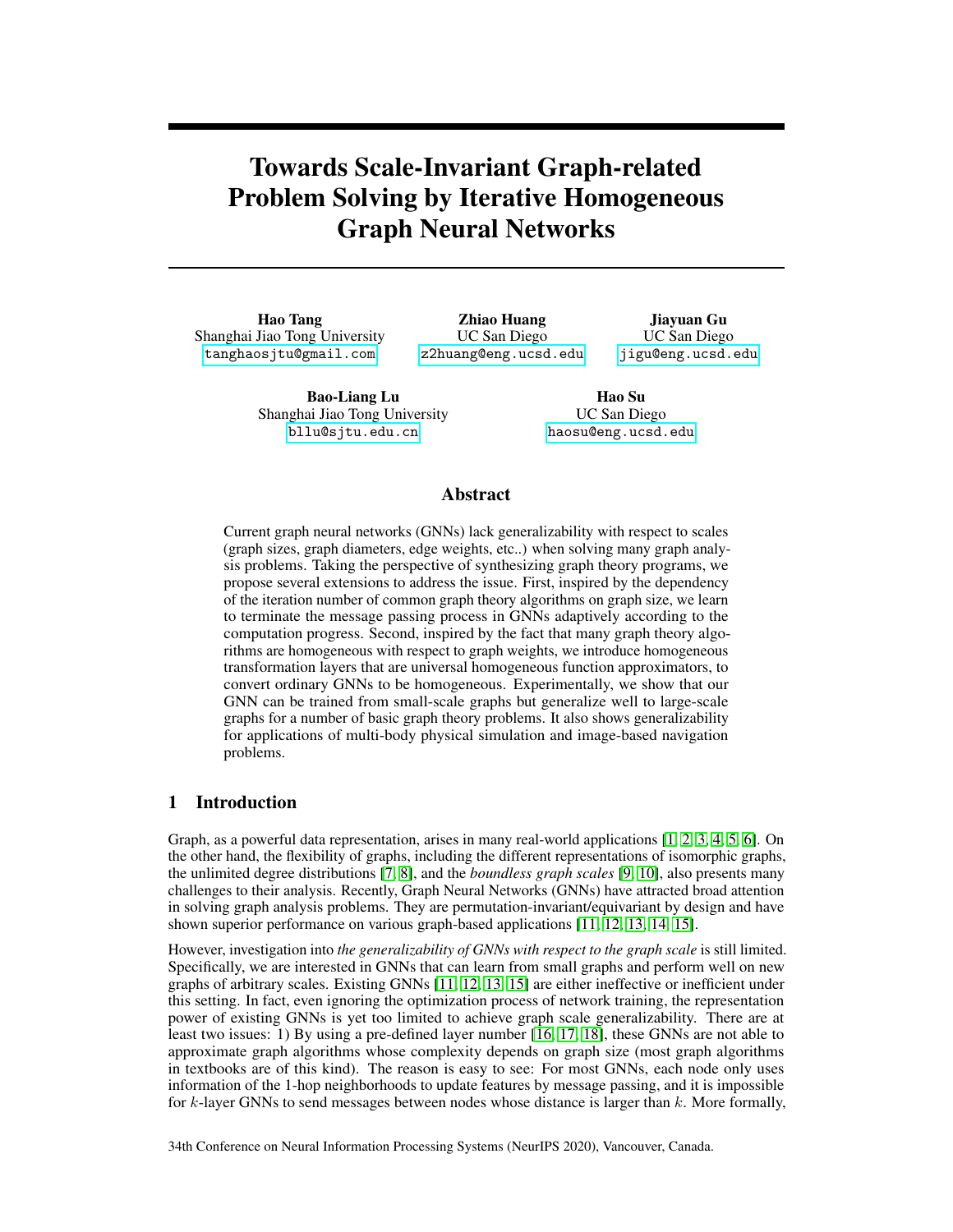# Towards Scale-Invariant Graph-related Problem Solving by Iterative Homogeneous Graph Neural Networks

Hao Tang Shanghai Jiao Tong University [tanghaosjtu@gmail.com](mailto:tanghaosjtu@gmail.com)

Zhiao Huang UC San Diego [z2huang@eng.ucsd.edu](mailto:z2huang@eng.ucsd.edu)

Jiayuan Gu UC San Diego [jigu@eng.ucsd.edu](mailto:jigu@eng.ucsd.edu)

Bao-Liang Lu Shanghai Jiao Tong University [bllu@sjtu.edu.cn](mailto:bllu@sjtu.edu.cn)

Hao Su UC San Diego [haosu@eng.ucsd.edu](mailto:haosu@eng.ucsd.edu)

## Abstract

Current graph neural networks (GNNs) lack generalizability with respect to scales (graph sizes, graph diameters, edge weights, etc..) when solving many graph analysis problems. Taking the perspective of synthesizing graph theory programs, we propose several extensions to address the issue. First, inspired by the dependency of the iteration number of common graph theory algorithms on graph size, we learn to terminate the message passing process in GNNs adaptively according to the computation progress. Second, inspired by the fact that many graph theory algorithms are homogeneous with respect to graph weights, we introduce homogeneous transformation layers that are universal homogeneous function approximators, to convert ordinary GNNs to be homogeneous. Experimentally, we show that our GNN can be trained from small-scale graphs but generalize well to large-scale graphs for a number of basic graph theory problems. It also shows generalizability for applications of multi-body physical simulation and image-based navigation problems.

# 1 Introduction

Graph, as a powerful data representation, arises in many real-world applications [1, 2, 3, 4, 5, 6]. On the other hand, the flexibility of graphs, including the different representations of isomorphic graphs, the unlimited degree distributions [7, 8], and the *boundless graph scales* [9, 10], also presents many challenges to their analysis. Recently, Graph Neural Networks (GNNs) have attracted broad attention in solving graph analysis problems. They are permutation-invariant/equivariant by design and have shown superior performance on various graph-based applications [11, 12, 13, 14, 15].

However, investigation into *the generalizability of GNNs with respect to the graph scale* is still limited. Specifically, we are interested in GNNs that can learn from small graphs and perform well on new graphs of arbitrary scales. Existing GNNs [11, 12, 13, 15] are either ineffective or inefficient under this setting. In fact, even ignoring the optimization process of network training, the representation power of existing GNNs is yet too limited to achieve graph scale generalizability. There are at least two issues: 1) By using a pre-defined layer number [16, 17, 18], these GNNs are not able to approximate graph algorithms whose complexity depends on graph size (most graph algorithms in textbooks are of this kind). The reason is easy to see: For most GNNs, each node only uses information of the 1-hop neighborhoods to update features by message passing, and it is impossible for  $k$ -layer GNNs to send messages between nodes whose distance is larger than  $k$ . More formally,

34th Conference on Neural Information Processing Systems (NeurIPS 2020), Vancouver, Canada.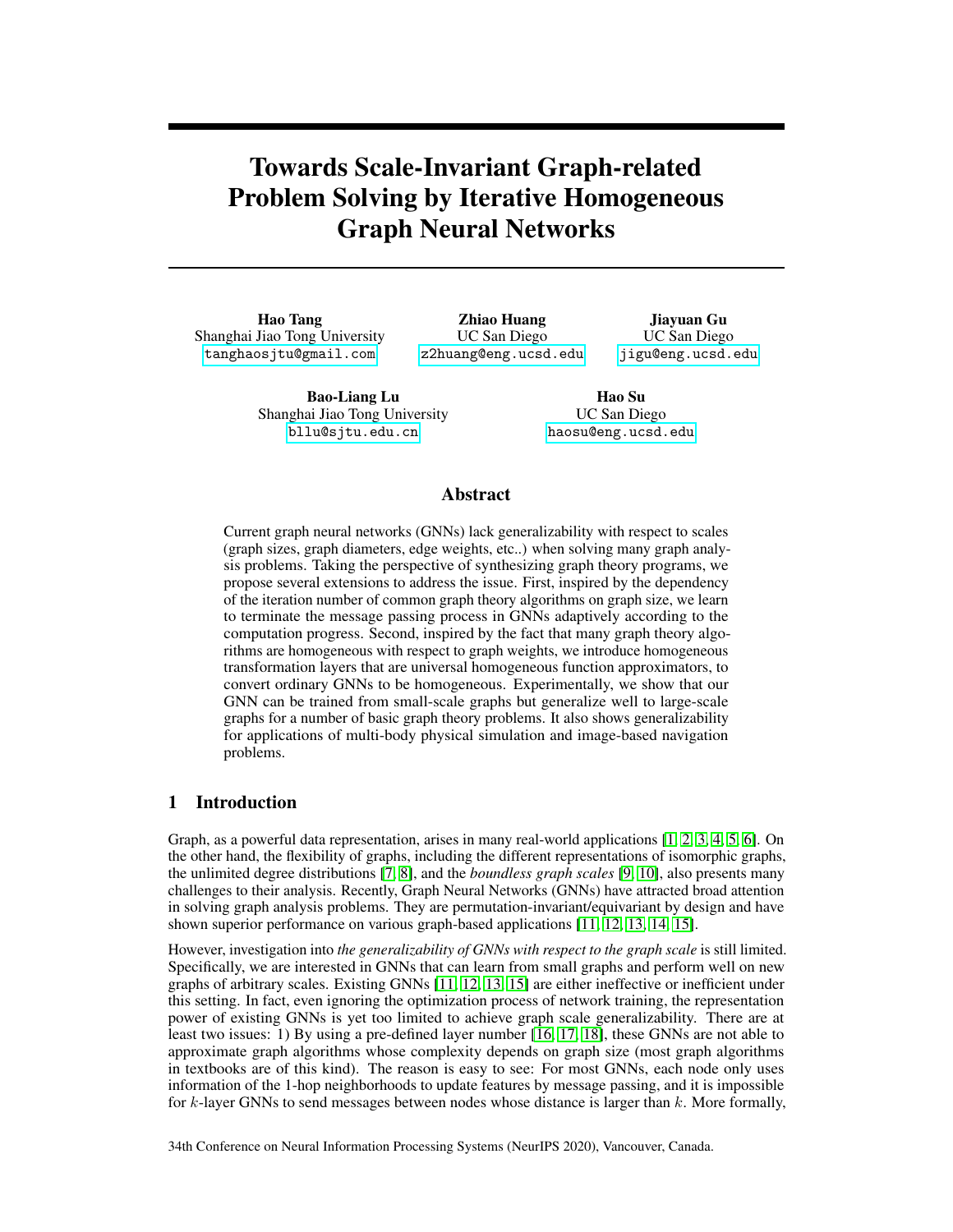Loukas [19] proves that GNNs, which fall within the message passing framework, lose a significant portion of their power for solving many graph problems when their width and depth are restricted; and 2) a not-so-obvious observation is that, the range of numbers to be encoded by the internal representation may deviate greatly for graphs of different scales. For example, if we train a GNN to solve the shortest path problem on small graphs of diameter  $k$  with weight in the range of [0, 1], the internal representation could only need to build the encoding for the path length within  $[0, k]$ ; but if we test this GNN on a large graph of diameter  $K$  k with the same weight range, then it has to use and transform the encoding for  $[0, K]$ . The performance of classical neural network modules (e.g. the multilayer perceptron in GNNs) are usually highly degraded on those out-of-range inputs.

To address the pre-defined layer number issue, we take a program synthesis perspective, to design GNNs that have stronger representation power by mimicking the control flow of classical graph algorithms. Typical graph algorithm, such as Dijkstra's algorithm for shortest path computation, are iterative. They often consist of two sub-modules: an iteration body to solve the sub-problem (e.g., update the distance for the neighborhood of a node as in Dijkstra), and a termination condition to control the loop out of the iteration body. By adjusting the iteration numbers, an iterative algorithm can handle arbitrary large-scale problems. We, therefore, introduce our novel Iterative GNN (IterGNN) that equips ordinary GNN with an adaptive and differentiable stopping criterion to let GNN iterate by itself, as shown in Figure 1. Our stopping condition is adaptive to the inputs, supports arbitrarily large iteration numbers, and, interestingly, is able to be trained in an end-to-end fashion *without any direct supervision*.

We also give a partial solution to address the issue of out-of-range number encoding, if the underlying graph algorithm is in a specific hypothesis class. More concretely, the solutions to many graph problems, such as the shortest path problem and TSP problem, are homogeneous with respect to the input graph weights, i.e., the solution scales linearly with the magnitudes of the input weights. To build GNNs with representation power to approximate the solution to such graph problems, we further introduce the homogeneous inductive-bias. By assuming the message processing functions are homogeneous, the knowledge that neural networks learn at one scale can be generalized to different scales. We build HomoMLP and HomoGNN as powerful approximates of homogeneous functions over vectors and graphs, respectively.

We summarize our contributions as follows: (1) We propose IterGNN to approximate iterative algorithms, which avoids fixed computation steps in previous graph neural networks, and provides the potential for solving arbitrary large-scale problems. (2) The homogeneous prior is further introduced as a powerful inductive bias for solving many graph-related problems. (3) We prove the universal approximation theorem of HomoMLP for homogeneous functions and also prove the generalization error bounds of homogeneous neural networks under proper conditions. (4) In experiments, we demonstrate that our methods can generalize on various tasks and have outperformed baselines.

# 2 Related Work

**Graph Algorithm Learning.** Despite the success of GNNs (mostly come within the message passing framework [14, 15]) in many fields [13, 20, 11], few works have reported remarkable results on solving traditional graph-related problems, such as the shortest path problem, by neural networks, especially when the generalizability with regard to scales is taken into account. Neural Turing Machine [21, 22] first reported performance on solving the shortest path problem on small graphs using deep neural networks and Neural Logic Machine [23] solved the shortest path problem on graphs with limited diameters. Recently, [24], [25] and [26] achieved positive performance on graph algorithm learning on relatively large graphs using GNNs. However, [24, 25] require per-layer supervision to train, and models in [26] can not extend to large graph scales due to their bounded number of message passing steps. As far as we know, no previous work has solved the shortest path problem by neural networks on graphs of diameters larger than 100.

**Iterative Algorithm Approximation.** Inspired by the success of traditional iterative algorithms [27, 28], several works were proposed to incorporate the iterative architecture into neural networks for better generalizability [18, 29], more efficiency [30], or to support end-to-end training [16, 17]. However, none of them supports adaptive and unbounded iteration numbers and is therefore not applicable for approximating general iterative algorithms over graphs of any sizes.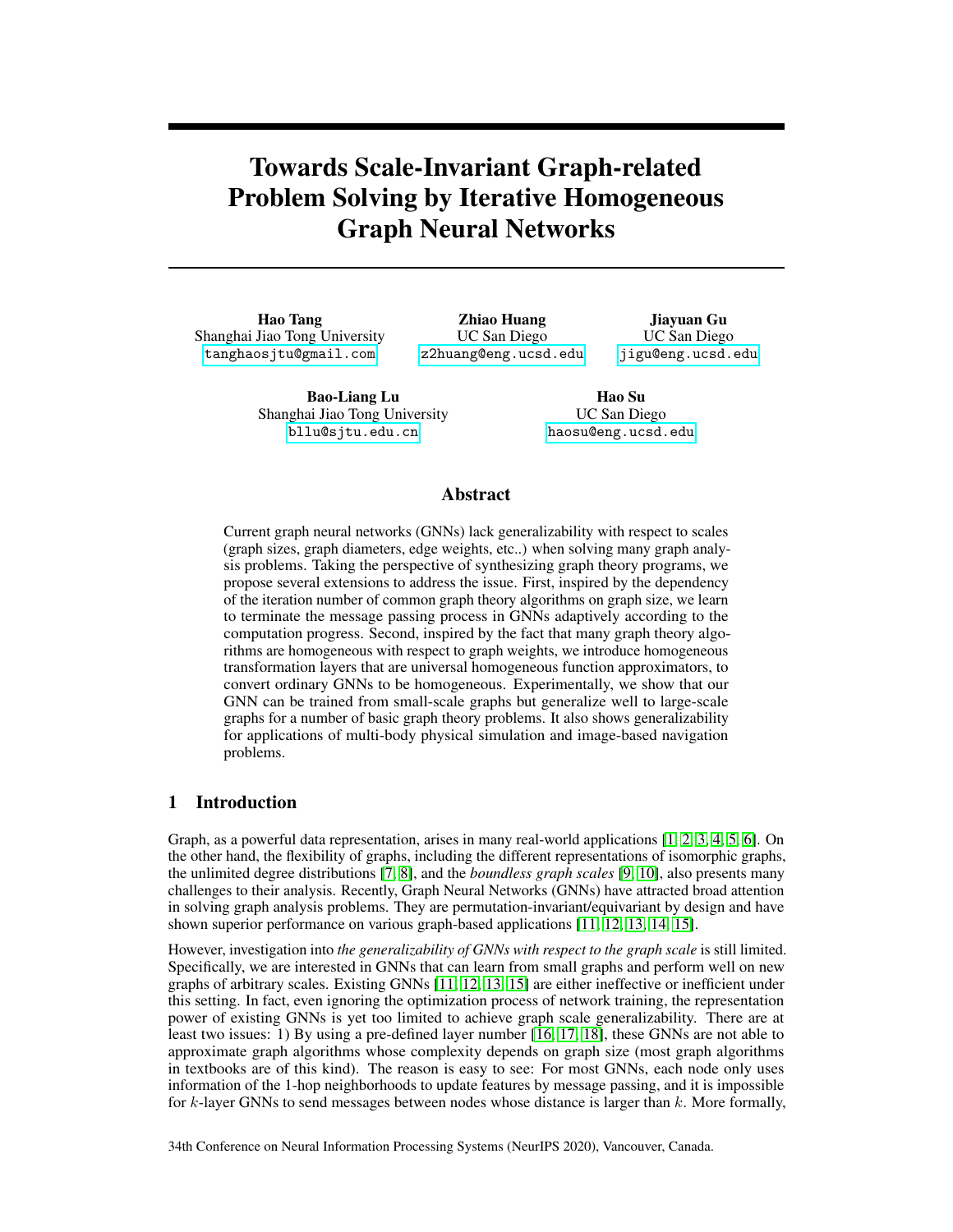

Figure 1: (a) The illustration of general iterative algorithms. The iteration body is repeated until the stopping criterion is satisfied. (b) Illustration of IterGNN as a combination of GNNs and iterative module. (c) A detailed illustration of Iterative GNN. It unfolds the computational flow of IterGNN. Other than the normal data flow (marked as blue), there is another control flow (marked as orange) that serves both as an adaptive stopping criterion and as a data flow controller.

Differentiable Controlling Flows. In recent years, multiple works have been proposed in the graph representation learning field that integrate controlling into neural networks to achieve flexible datadriven control. For example, DGCNN [31] implemented a differentiable sort operator (sort pooling) to build more powerful readout functions. Graph U-Net [32, 33] designed an adaptive pooling operator (TopK pooling) to support flexible data-driven pooling operations. All these methods achieved the differentiability by relaxing and multiplying the controlling signals with the neural networks' hidden representations. Inspired by their works, our method also differentiates the iterative algorithm by relaxing and multiplying the stopping criterion's output into neural networks' hidden representations.

Adaptive Depth of Neural Networks. The final formulation of our method is generally similar to the previous adaptive computation time algorithm (ACT) [34] for RNNs or spatially ACT [35, 36] for CNNs, however, with distinct motivations and formulation details. The numbers of iterations for ACT are usually small by design (e.g.the formulation of regularizations and halting distributions). Contrarily, Our method is designed to fundamentally improve the generalizability of GNNs w.r.t. scales by generalizing to much larger iteration numbers. Several improvements are proposed accordingly. The recent flow-based methods (e.g. the Graph Neural ODE [37]) are also potentially able to provide adaptive layer numbers. However, with no explicit iteration controller, they are not a straightforward solution to approximate iterative algorithms and to encode related inductive biases.

# 3 Backgrounds

**Graphs and graph scales.** Each graph  $G := (V, E)$  consists of a set of nodes V and a set of edges (pairs of nodes) E. To notate graphs with attributes, we use  $\vec{x}_V$  for node attributes of node  $v \nightharpoonup V$  and use  $\vec{x}_e$  for edge attributes of edge  $e \nightharpoonup E$ . We consider three graph properties to quantify the graph scales, which are the number of nodes  $N := N j$ , which is also called the graph size, the graph diameter  $\delta_G := \max_{u: v \geq v} d(u, v)$ , and the scale of attributes' magnitudes  $H := \max_{v \geq v} j \vec{x}_v j + \max_{e \geq \epsilon} j \vec{x}_e j$ . Here,  $j j$  is denotes an arbitrary norm of vectors and  $d(u, v)$ denotes the length of the shortest path from node  $u$  to node  $v$ , which is also called the distance between node  $u$  and node  $v$  for undirected graphs. We assume graph scales are unbounded but finite, and the aim is to generalize learned knowledge to graphs of arbitrary scales.

Graph Neural Networks. We describe a known class of GNNs that encompasses many state-of-art networks, including GCN [38], GAT [39], GIN [40], and Interaction Networks [4], among others. Networks with a global state [15] or utilizing multi-hop information per layer [41, 42, 43] can often be re-expressed within this class, as discussed in [19]. The class of GNNs generalizes the message-passing framework [14] to handle edge attributes. Each layer of it can be written as

$$
\vec{h}^{(l+1)}_{V} = f^{(l)}(\vec{h}^{(l)}_{V}, f\vec{x}_{e}: e \ 2 \ N_{E}(v)g, f\vec{h}^{(l)}_{V} : v^{l} \ 2 \ N_{V}(v)g).
$$
 (1)

 $\vec{h}_{V}^{(l)}$  is the node feature vector of node v at layer l.  $N_{V}(v)$  and  $N_{E}(v)$  denote the sets of nodes and edges that are directly connected to node v (i.e. its 1-hop neighborhood).  $f^{(l)}$  is a parameterized function, which is usually composed of several multilayer perceptron modules and several aggregation functions (e.g. sum/max) in practice. Readers are referred to [11, 12, 13, 15] for thorough reviews.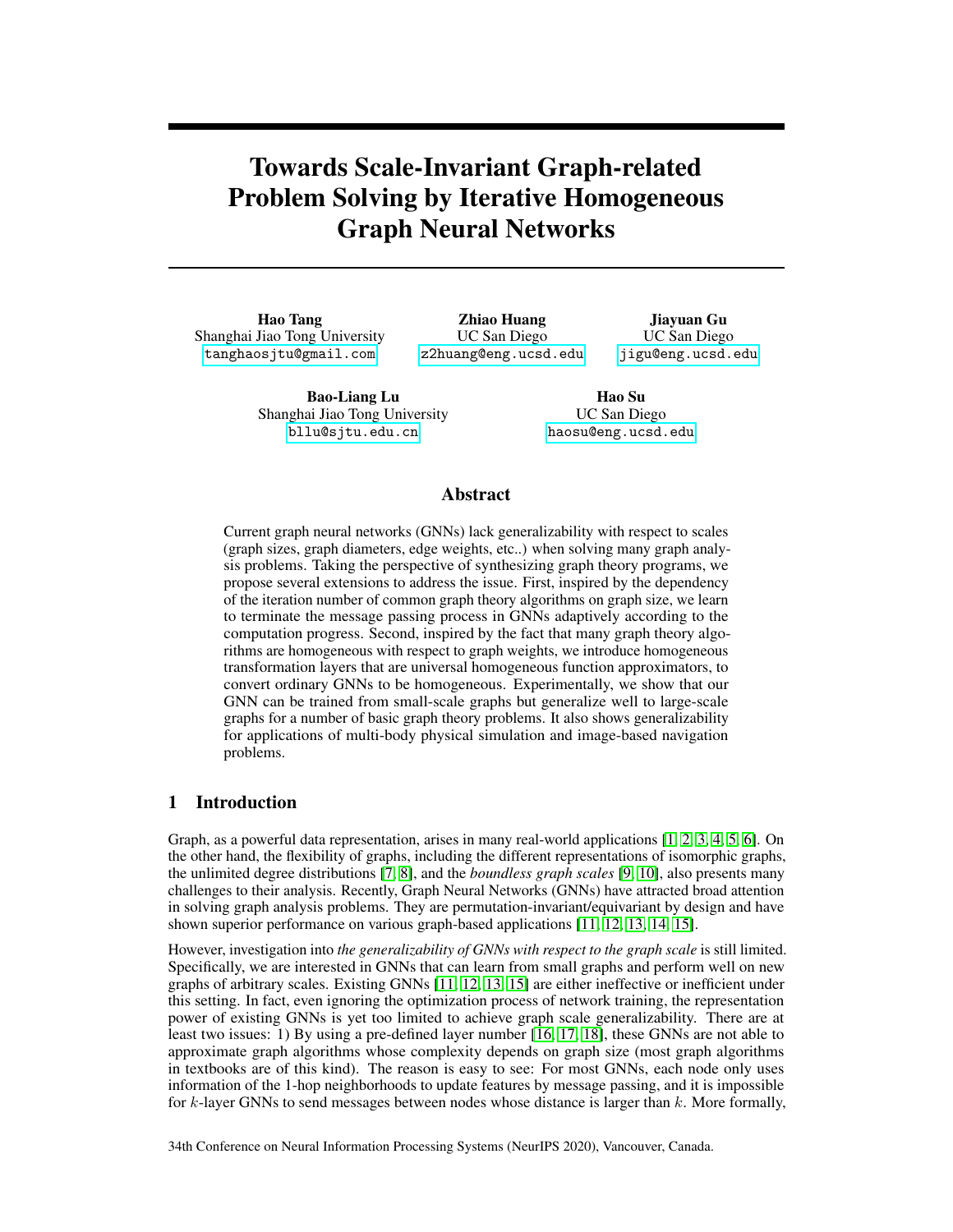## 4 Method

We propose Iterative GNN (IterGNN) and Homogeneous GNN (HomoGNN) to improve the generalizability of GNNs with respect to graph scales. IterGNN is first introduced, in Section 4.1, to enable adaptive and unbounded iterations of GNN layers so that the model can generalize to graphs of arbitrary scale. We further introduce HomoGNN, in Section 4.2, to partially solve the problem of out-of-range number encoding for graph-related problems. We finally describe PathGNN that improves the generalizability of GNNs for distance-related problems by improving the algorithm alignments [26] to the Bellman-Ford algorithm in Section 4.3.

#### 4.1 Iterative module

The core of IterGNN is a differentiable iterative module. It executes the same GNN layer repeatedly until a learned stopping criterion is met. We present the pseudo-codes in Algorithm 1. At time step  $k$ , the iteration body  $f$  updates the hidden states as  $h^k = f(h^{k-1})$ ; the stopping criterion function  $g$  then calculates a confidence score  $c^{k} = g(h^{k})$  2 [0, 1] to describe the probability of the iteration to terminate at this step. The module determines the number of iterations using a random process based on the confidence scores  $c<sup>k</sup>$ . At each time step k, the random process has a probability of  $c^k$  to terminate the iteration and to return the current hidden states  $h^k$  as the output. The probability for the whole process to return  $h^k$  is then  $p^k = \left(\prod_{i=1}^{k-1} (1 - c^i)\right) c^k$ , which is the



| <b>input:</b> initial feature x; stopping threshold $\epsilon$                      |  |
|-------------------------------------------------------------------------------------|--|
| k.                                                                                  |  |
| $h^0$                                                                               |  |
| while $\prod_{j=1}^{n} (1 - c^j) > \epsilon$ do $h^k \frac{1}{f(h^{k-1})}$          |  |
|                                                                                     |  |
| $c^k$ $g(h^k)$                                                                      |  |
| $k \quad k+1$                                                                       |  |
| end while                                                                           |  |
| <b>return</b> $h = \sum_{j=1}^{k} \left( \prod_{i=1}^{j} (1 - c^i) \right) c^j h^j$ |  |

product of the probabilities of continuing the iteration at steps from 1 to  $k-1$  and stopping at step  $\overline{k}$ . However, the sampling procedure is not differentiable. Instead, we execute the iterative module until the "continue" probability  $\prod_{i=1}^{k} (1 - c^i)$  is smaller than a threshold  $\epsilon$  and return an expectation  $h = \sum_{j=1}^{k} p^{j} h^{j}$  at the end. The gradient to the output h thus can optimize the hidden states  $h^{k}$  and the confidence scores  $c^k$  jointly.

For example, assume  $c^i = 0$  for  $i < k$ ,  $c^k = a$ ,  $c^{k+1} = b$ , and  $(1 \quad a)(1 \quad b) < \epsilon$ . If we follow the pre-defined random process, for steps before k, the iteration will not stop as  $c^i = 0$  for  $i < k$ . For the step k, the process has a probability of a to stop and output  $h^k$ ; otherwise, the iteration will continue to the step  $k + 1$ . Similarly, at the step  $k + 1$ , the iteration has a probability of b to stop and output  $h^{k+1}$ . We stop the iteration after step  $k + 1$  as the "continue" probability  $\prod_{i=1}^{k} (1 - c^i) = (1 - a)(1 - b)$  is negligible. The final output is the expectation of the output of the random process  $h = ah^k + (1 - a)bh^{k+1}$ .

By setting f and q as GNNs, we obtain our novel IterGNN, as shown in Figure 1. The features are associated with nodes in the graph as  $\vec{n}_V^{(k)}: v \sim \text{2} \, V \, g$ . GNN layers as described in Eq. 1 are adopted as the body function f to update the node features iteratively  $\vec{n}_v^{(k)} : v \supseteq V g = GNN(G, \vec{n}_v^{(k-1)} :$  $v \, 2 \, Vg, \vec{fh}_e$ :  $e \, 2 \, Eg$ ). We build the termination probability module as g by integrating a readout function and an MLP. The readout function (e.g. max/mean pooling) summarizes all node features  $\vec{n}_{V}^{(k)}: v \neq Vg$  into a fixed-dimensional vector  $\vec{h}^{(k)}$ . The MLP predicts the confidence score as  $c^k$  = sigmoid(MLP( $\vec{h}^{(k)}$ )). The sigmoid function is utilized to ensure the output of g is between 0 and 1. With the help of our iterative module, IterGNN can adaptively adjust the number of iterations. Moreover, it can be trained without any supervision of the stopping condition.

Our iterative module can resemble the control flow of many classical graph algorithms since the iteration of most graph algorithms depends on the size of the graph. For example, Dijkstra's algorithm [27] has a loop to greedily propagate the shortest path from the source node. The number of iterations to run the loop depends linearly on the graph size. Ideally, we hope that our  $f$  can learn the loop body and g can stop the loop when all the nodes have been reached from the source. Interestingly, the experiment result shows such kind behavior. This structural level of the computation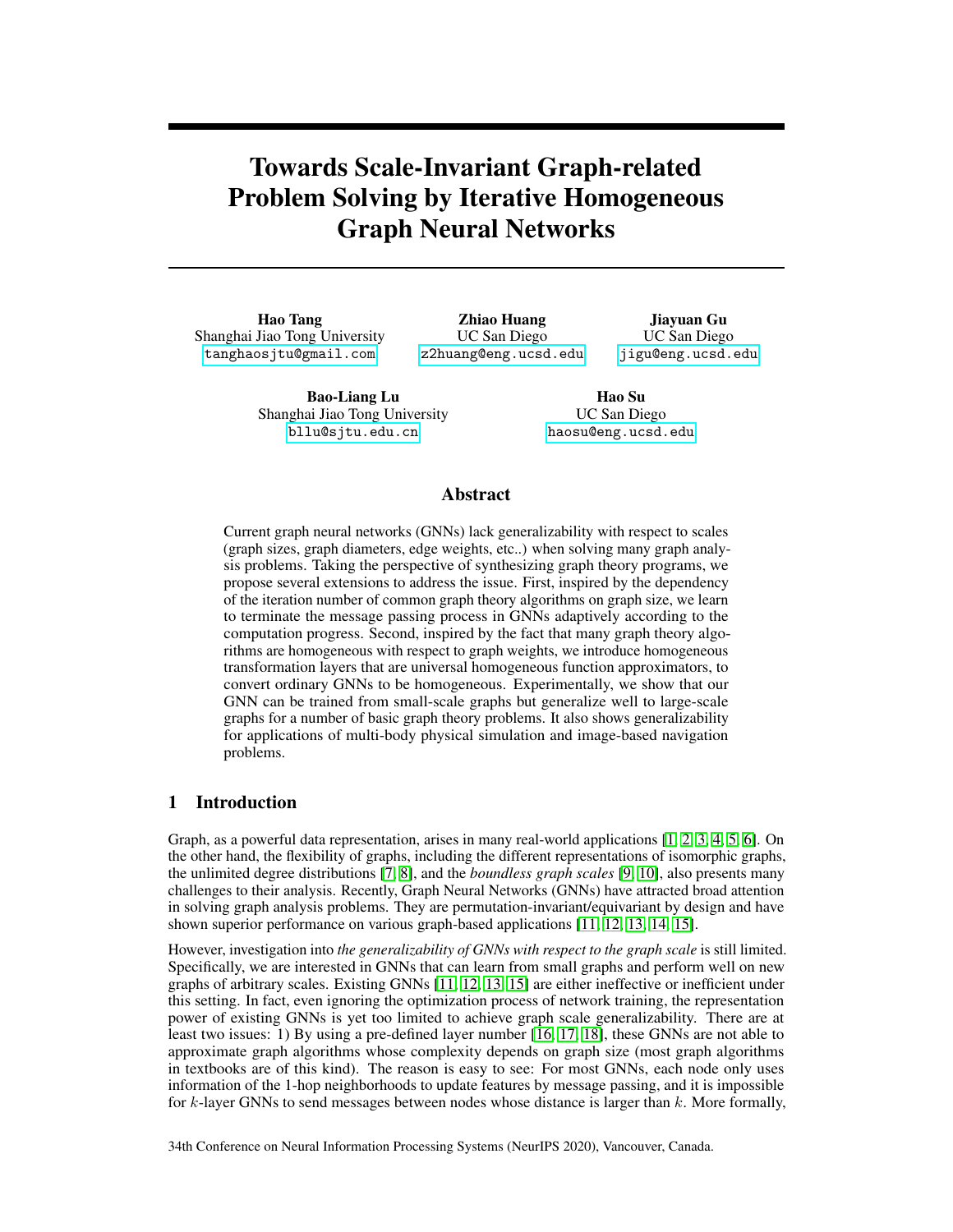

Figure 2: (a) An example of homogeneous functions. (b-c) Illustration of the improved generalizability by applying the homogeneous prior. Knowledge learned from the training samples not only can be generalized to samples of the same data distribution as ordinary neural networks, as shown in (b), but also can be generalized to samples of the scaled data distributions, as shown in (c).

allows superior generalizability, which agrees with the findings in [26] that improved algorithm alignment can increase network generalizability. In contrast, without a dynamic iterative module, previous GNNs have much inferior ability to generalize to larger graphs.

We state more details of IterGNN in Appendix, including the memory-efficient implementation, the theoretical analysis of representation powers, the node-wise iterative module to support unconnected graphs, and the decaying confidence mechanism to achieve much larger iteration numbers during inference in practice (by compensating the nonzero properties of the sigmoid function in  $q$ ).

#### 4.2 Homogeneous prior

The homogeneous prior is introduced to improve the generalizability of GNNs for out-of-range features/attributes. We first define the positive homogeneous property of a function:

**Definition 1** *A function f over vectors is positive homogeneous iff*  $f(\lambda \vec{x}) = \lambda f(\vec{x})$  *for all*  $\lambda > 0$ *.* 

*A function* f *over graphs is positive homogeneous iff for any graph*  $G = (V, E)$  *with node attributes*  $\vec{x}_V$ *and edge attributes*  $\vec{x}_e$ ,  $f(G, f \lambda \vec{x}_v : v \angle Vg, f \lambda \vec{x}_e : e \angle Eg) = \lambda f(G, f \vec{x}_v : v \angle Vg, f \vec{x}_e : e \angle Eg)$ 

The solutions to most graph-related problems are positive homogeneous, such as the length of the shortest path, the maximum flow, graph radius, and the optimal distance in the traveling salesman problem.

The homogeneous prior tackles the problem of different magnitudes of features for generalization. As illustrated in Figure 2, by assuming functions as positive homogeneous, models can generalize knowledge to the scaled features/attributes of different magnitudes. For example, let us assume two datasets D and D that are only different on magnitudes, which means  $D := f \lambda x : x \ge Dg$  and  $\lambda > 0$ . If the target function f and the function  $F_A$  represented by neural networks A are both homogeneous, the prediction error on dataset D then scales linearly w.r.t. the scaling factor  $\lambda$ :

$$
\sum_{x \ge D_{\lambda}} \text{jj} f(x) \quad F_A(x) \text{jj} = \sum_{x^0 \ge D} \text{jj} f(\lambda x^0) \quad F_A(\lambda x^0) \text{jj} = \lambda \sum_{x^0 \ge D} \text{jj} f(x^0) \quad F_A(x^0) \text{jj}. \tag{2}
$$

We design the family of GNNs that are homogeneous, named HomoGNN, as follows: simply remove all the bias terms in the multi-layer perceptron (MLP) used by ordinary GNNs, so that all affine transformations degenerate to linear transformations. Additionally, only homogeneous activation functions are allowed to be used. Note that ReLU is a homogeneous activation function. The original MLP used in ordinary GNNs become HomoMLP in HomoGNNs afterward.

#### 4.2.1 Theoretical analysis of HomoGNN and HomoMLP

We provide theoretical proofs showing that, if the target function is homogeneous, low generalization errors and low training errors are both achievable using the pre-defined homogeneous neural networks under proper conditions. We first formalize the generalization error bounds of homogeneous neural networks on approximating homogeneous functions under some assumptions, by extending the previous example to more general cases. To show that low training errors are achievable, we further prove that HomoMLP is a universal approximator of the homogeneous functions under proper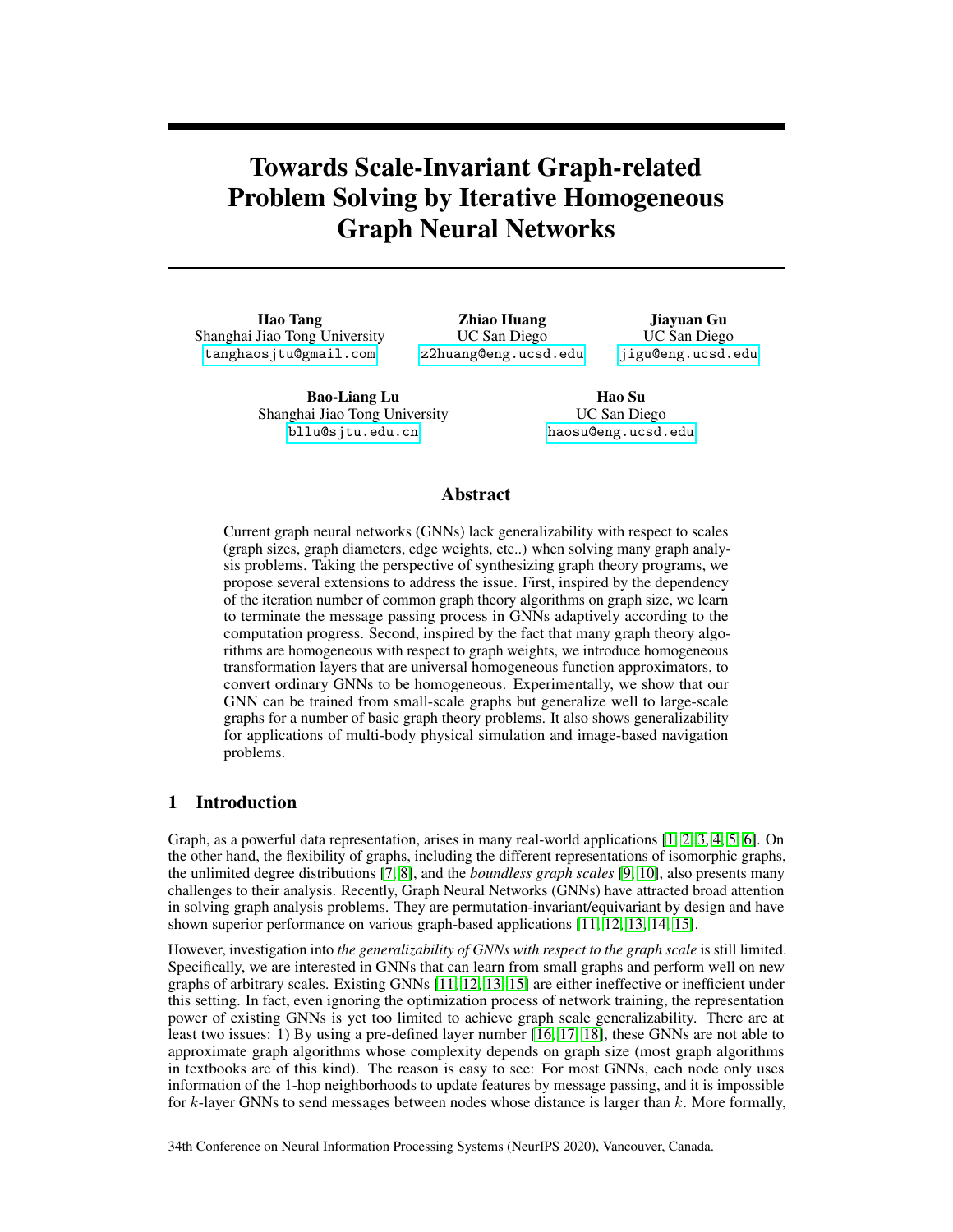conditions, based on the universal approximation theorem for width-bounded ReLU networks [44]. We present propositions stating that HomoGNN and HomoMLP can only represent homogeneous functions, along with the proofs for all theorems, in the Appendix.

Let training samples  $D_m = fx_1, x_2, \quad x_m g$  be independently sampled from the distribution  $D_x$ , then if we scale the training samples with the scaling factor  $\lambda \nightharpoonup \mathbb{R}^+$  which is independently sampled from the distribution D, we get a "scaled" distribution  $D_x$ , which has a density function  $P_{D_x^{\lambda}}(z) := \int \int_X \delta(\lambda x = z) P_{D_{\lambda}}(\lambda) P_{D_x}(x) dx d\lambda$ . The following theorem bounds the generalization error bounds on  $D_x$ :

**Theorem 1** (Generalization error bounds of homogeneous neural networks with independent scaling assumption). *For any positive homogeneous functions function* f *and neural network* FA*, let* β *bounds the generalization errors on the training distribution*  $D_x$ , *i.e.*,  $\mathbb{E}_x$   $_{D_x}$   $f(x)$   $\qquad$   $\vdots$   $f_A(x)$   $\vdots$  $\frac{1}{m}\sum_{i=1}^{m}$  *jf*(*x<sub>i</sub>*)  $F_A(x_i)$  +  $\beta$ , then the generalization errors on the scaled distributions  $D_x$  scale  $\lim_{n \to \infty} \frac{d}{dx}$  with the expectation of scales  $\mathbb{E}_{D_{\lambda}}[\lambda]$ :

$$
\mathbb{E}_{x} \quad D_{x} \circ f(x) \quad F_{A}(x) = \mathbb{E}_{D_{\lambda}}[\lambda] \mathbb{E}_{x} \quad D_{x} \circ f(x) \quad F_{A}(x) = \mathbb{E}_{D_{\lambda}}[\lambda] \left(\frac{1}{m} \sum_{i=1}^{m} f(x_{i}) \quad F_{A}(x_{i}) + \beta\right) \tag{3}
$$

Theorem 2 (Universal approximation theorem for width-bounded HomoMLP). *For any positivehomogeneous Lebesgue-integrable function* f : X 7! R*, where* X *is a Lebesgue-measurable compact* subset of  $\mathbb{R}^n$ , and for any  $\epsilon > 0$ , there exists a finite-layer HomoMLP  $A^{\theta}$  with width  $d_m \equiv 2(n + 4)$ , which represents the function  $F_{\mathcal{A}^\emptyset}$  such that  $\int_{\mathbb{X}} f(x) - F_{\mathcal{A}^\emptyset}(x) f(x) < \epsilon$ .

#### 4.3 Path graph neural networks

We design PathGNN to imitate one iteration of the classical Bellman-Ford algorithm. It inherits the generalizability of the Bellman-Ford algorithm and the flexibility of the neural networks. Specifically, the Bellman-Ford algorithm performs the operation  $dist_i = min(dist_i, min_{j2N(i)}(dist_j + w_{ji}))$ iteratively to solve the shortest path problem, where  $dist_i$  is the current estimated distance from the source node to the node i, and  $w_{ij}$  denotes the weight of the edge from node j to node i. If we consider  $dist_i$  as node features and  $w_{ij}$  as edge features, one iteration of the Bellman-Ford algorithm can be exactly reproduced by GNN layers as described in Eq. 1:

$$
\vec{h}_i = \min(\vec{h}_i, \min_{j \ge N(i)} (\vec{h}_j + \vec{x}_{ji})) \qquad \max(\vec{h}_i, \max_{j \ge N(i)} (\vec{h}_j - \vec{x}_{ji})).
$$

To achieve more flexibilities for solving problems other than the shortest path problem, we integrate neural network modules, such as MLPs to update features or the classical attentional-pooling to aggregate features, while building the PathGNN layers. A typical variant of PathGNN is as follows:

$$
\vec{h}_{j}^{0} = \sum_{j \geq N(i)} \alpha_{j} \cdot \text{MLP}_{2}(\vec{h}_{j}; \vec{h}_{i}; \vec{x}_{j}) \text{ for } j \geq N(i)g);
$$
  

$$
\vec{h}_{j}^{0} = \sum_{j \geq N(i)} \alpha_{j} \cdot \text{MLP}_{2}(\vec{h}_{j}; \vec{h}_{i}; \vec{x}_{j}) \text{; } \vec{h}_{i} = \max(\vec{h}_{i}, \vec{h}_{i}^{0}),
$$

We state the detailed formulation and variations of PathGNN layers in the Appendix.

# 5 Experiments

Our experimental evaluation aims to study the following empirical questions: (1) Will our proposals, the PathGNN layer, the homogeneous prior, and the iterative module, improve the generalizability of GNNs with respect to graph scales that are the number of nodes, the diameter of graphs, and the magnitude of attributes? (2) Will our iterative module adaptively change the iteration numbers and consequently learn an interpretable stopping criterion in practice? (3) Can our proposals improve the performance of general graph-based reasoning tasks such as those in physical simulation, image-based navigation, and reinforcement learning?

Graph theory problems and tasks. We consider three graph theory problems, i.e., shortest path, component counting, and Traveling Salesman Problem (TSP), to evaluate models' generalizability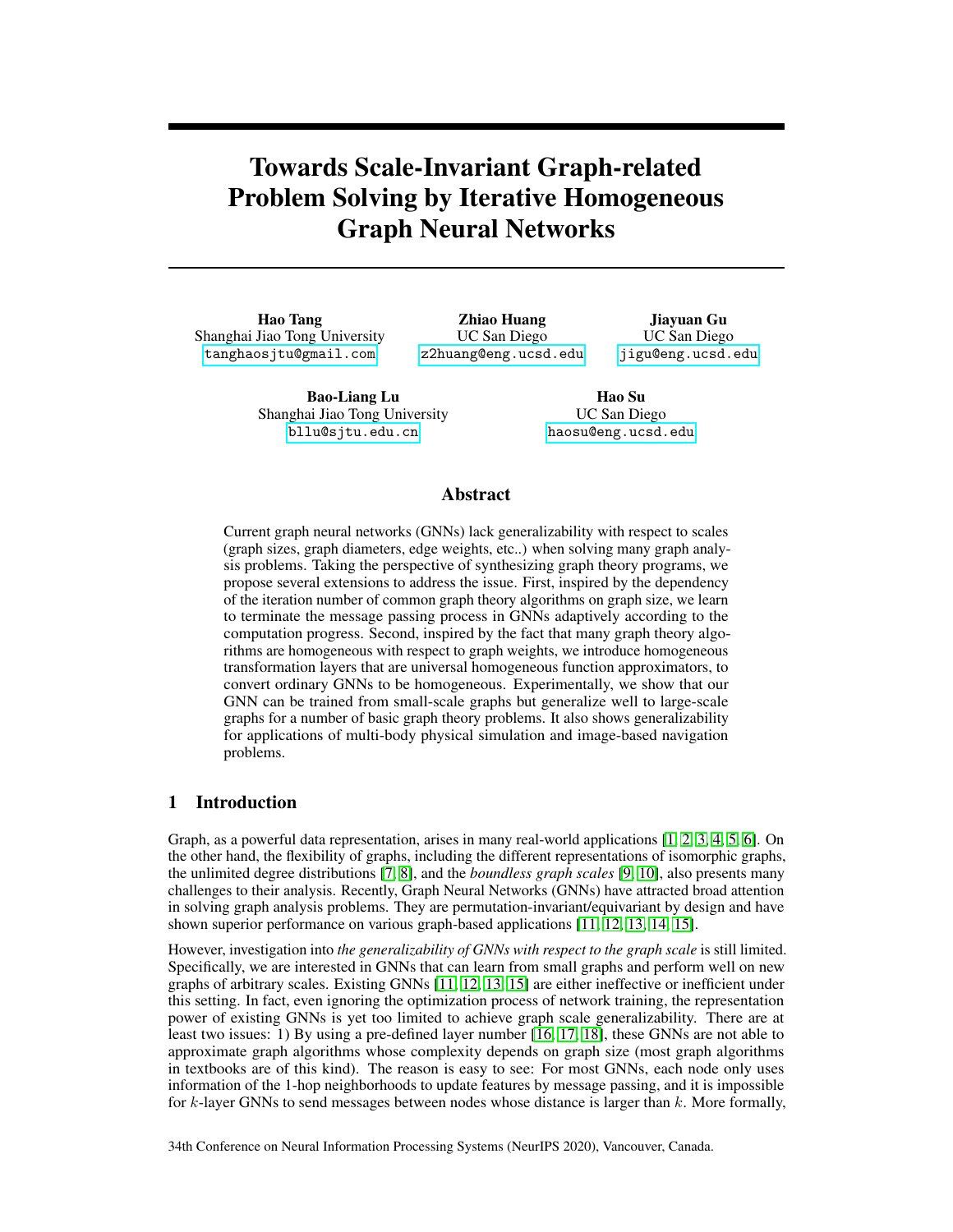

Figure 3: Figure (a) shows a set of Newton's balls in the physical simulator. The yellow arrow is the moving direction of the first ball. Figure (b) shows our symbolic PacMan environment. Figure (c) illustrates our image-based navigation task in a RPG-game environment.

w.r.t. graph scales. We build a benchmark by combining multiple graph generators, including Erdos-Renyi (ER), K-Nearest-Neighborhoods graphs (KNN), planar graphs (PL), and lobster graphs (Lob), so that the generated graphs can have more diverse properties. We further apply our proposals to three graph-related reasoning tasks, i.e., physical simulation, symbolic Pacman, and image-based navigation, as illustrated in Figure 3. The generation processes and the properties of datasets are listed in the Appendix.

Models and baselines. Previous problems and tasks can be formulated as graph regression/classification problems. We thus construct models and baselines following the common practice [15, 31, 40]. We stack 30 GCN [38]/GAT [39] layers to build the baseline models. GIN [40] is not enlisted since 30-layer GINs do not converge in most of our preliminary experiments. Our "Path" model stacks 30 PathGNN layers. Our "Homo-Path" model replaces GNNs and MLPs in the "Path" model with HomoGNNs and HomoMLPs. Our "Iter-Path" model adopts the iterative module to control the iteration number of the GNN layer in the "Path" model. The final "Iter-Homo-Path" integrates all proposals together. Details are in the Appendix.

Training Details. We utilize the default hyper-parameters to train models. We generate 10000 samples for training, 1000 samples for validation, and 1000 samples for testing. The only two tunable hyper-parameter in our experiment is the epoch number (10 choices) and the formulation of PathGNN layers (3 choices). Validation datasets are used to tune them. More details are listed in the Appendix.

## 5.1 Solving graph theory problems

Generalize w.r.t. graph sizes and graph diameters. We present the generalization performance for all three graph theory problems in Table 1. Models are trained on graphs of sizes within [4, 34) and are evaluated on graphs of larger sizes such as 100 (for shortest path and TSP) and 500 (for component counting so that the diameters of components are large enough). The relative loss metric is defined as  $\frac{y}{y}$   $\frac{\frac{y}{y}}{y}$ , given a label y and a prediction  $\hat{y}$ . The results demonstrate that each of our proposals improves the generalizability on almost all problems. Exceptions happen on graphs generated by ER. It is because the diameters of those graphs are 2 with high probability even though the graph sizes are large. Our final model, Iter-Homo-Path, which integrates all proposals, performs much better than the baselines such as GCN and GAT. The performance on graphs generated by KNN and PL further supports the analysis. The concrete results are presented in the Appendix due to space limitations. We also evaluated a deeper Path model, i.e., with 100 layers, on the weighted shortest path problem (Lob). The generalization performance (relative loss 0.13) became even worse.

We then explore models' generalizability on much larger graphs on the shortest path problem using Lob to generate graphs with larger diameters. As shown in Table 2, our model achieves a 100% success rate of identifying the shortest paths on graphs with as large as 5000 nodes even though it is trained on graphs of sizes within  $[4, 34)$ . As claimed, the iterative module is necessary for generalizing to graphs of much larger sizes and diameters due to the message passing nature of GNNs. The iterative module successfully improves the performance from 60% to 100% on graphs of sizes 500.

Ablation studies and comparison. We conduct ablation studies to exhibit the benefits of our proposals using the unweighted shortest path problem on lobster graphs with 1000 nodes in Table 3.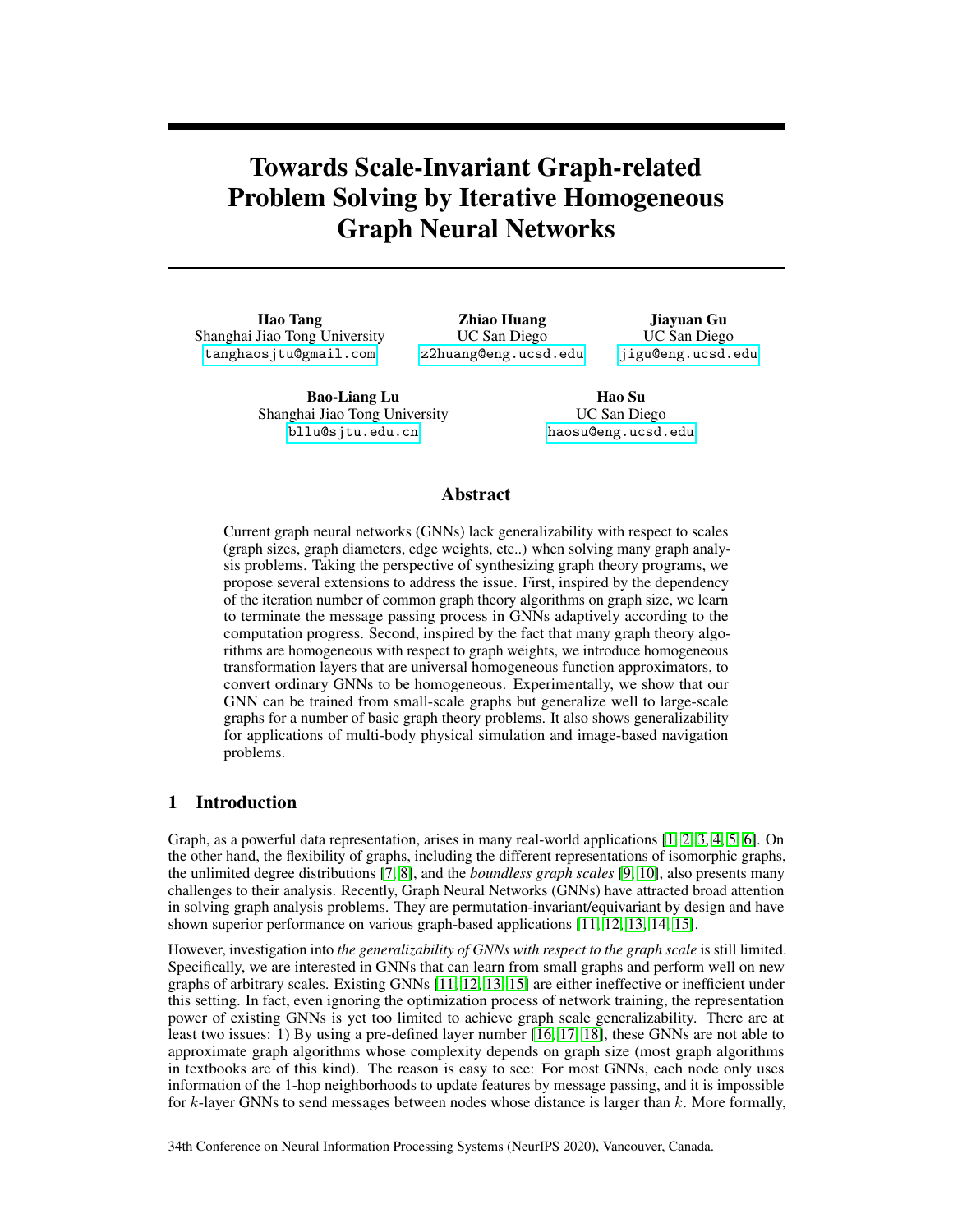Table 1: Generalization performance on graph algorithm learning and graph-related reasoning. Models are trained on graphs of smaller sizes (e.g., within  $[4, 34)$  or  $[10, 10)$  and are tested on graphs of larger sizes (e.g., 50, 100, 500, 16 16 or 33 33). The metric for the shortest path and TSP is the relative loss. The metric for component counting is accuracy. The metric for physical simulation is the mean square error. The metric for image-based navigation is the success rate.

|                       | <b>Graph Theory Problems</b> |      |                |          |            | Graph-related Reasoning |        |                   |                |
|-----------------------|------------------------------|------|----------------|----------|------------|-------------------------|--------|-------------------|----------------|
|                       | <b>Shortest Path</b>         |      | Component Cnt. |          | <b>TSP</b> | Physical sim.           |        | Image-based Navi. |                |
| Models                | ER                           | Lob  | ER             | Lob      | 2D         | 50                      | 100    | $16 \times 16$    | $33 \times 33$ |
| <b>GCN [38]</b>       | 0.1937                       | 0.44 | $0.0\%$        | $0.0\%$  | 0.52       | 42.18                   | 121.14 | 34.2%             | 28.9%          |
| GAT [39]              | 0.1731                       | 0.28 | 24.4%          | $0.0\%$  | 0.18       | >1e4                    | >1e4   | 56.7%             | 44.5%          |
| Path (ours)           | 0.0003                       | 0.29 | 82.3%          | 77.2%    | 0.16       | 20.24                   | 27.67  | 85.6%             | 65.1%          |
| Homo-Path (ours)      | 0.0008                       | 0.27 | 91.9%          | 83.9%    | 0.14       | 20.48                   | 21.45  | 87.8%             | 69.3%          |
| Iter-Path (ours)      | 0.0005                       | 0.09 | 86.7%          | 96.1%    | 0.08       | 0.13                    | 1.68   | 89.4%             | 78.6%          |
| Iter-Homo-Path (ours) | 0.0007                       | 0.02 | $99.6\%$       | $97.5\%$ | 0.07       | 0.07                    | 2.01   | 98.8%             | $91.7\%$       |

Table 2: Generalization performance on the shortest path problem with lobster graphs. During training, node numbers are within [4, 34) for unweighted problems (whose metric is the success rate), and edge weights are within [0.5, 1.5) for weighted problems (whose metric is the relative loss).

| and eage weights are whink follow to feel weighted problems (whose metric is the relative ross). |                                         |       |       |       |       |                              |        |        |         |
|--------------------------------------------------------------------------------------------------|-----------------------------------------|-------|-------|-------|-------|------------------------------|--------|--------|---------|
| Generalize                                                                                       | w.r.t. sizes and diameters - unweighted |       |       |       |       | w.r.t. magnitudes - weighted |        |        |         |
|                                                                                                  | 20                                      | 100   | 500   | 1000  | 5000  | [0.5, 1.5)                   | (1, 3) | [2, 6) | [8, 24) |
| <b>GCN [38]</b>                                                                                  | 66.6                                    | 25.7  | 5.5   | 2.4   | 0.4   | 0.31                         | 0.37   | 0.49   | 0.56    |
| GAT [39]                                                                                         | 100.0                                   | 42.7  | 10.5  | 5.3   | 0.9   | 0.13                         | 0.29   | 0.49   | 0.55    |
| Path (ours)                                                                                      | 100.0                                   | 62.9  | 20.1  | 10.3  | 1.6   | 0.06                         | 0.22   | 0.44   | 0.54    |
| Homo-Path (ours)                                                                                 | 100.0                                   | 58.3  | 53.7  | 50.2  | 1.6   | 0.03                         | 0.03   | 0.03   | 0.03    |
| Iter-Homo-Path (ours)                                                                            | 100.0                                   | 100.0 | 100.0 | 100.0 | 100.0 | 0.01                         | 0.04   | 0.06   | 0.08    |

The models are built by replacing each proposal in our best Iter-Homo-Path model with other possible substitutes in the literature. For the iterative module, other than the simplest paradigm utilized in Homo-Path that stacks GNN layers sequentially, we also compare it with the ACT algorithm [34] and the fixed-depth weight-sharing paradigm [18, 16], resulting in the "ACT-Homo-Path" and "Shared-Homo-Path" models. The ACT algorithm provides adaptive but usually short iterations of layers (see Figure 4 and Appendix). The weight-sharing paradigm iterates modules for predefined times and assumes that the predefined iteration number is large enough. We set its iteration number to the largest graph size in the dataset. Homo-Path and ACT-Homo-Path perform much worse than Iter/Shared-Homo-Path because of the limited representation powers of shallow GNNs. Shared-Homo-Path performs worse than our Iter-Homo-Path, possibly because of the accumulated errors after unnecessary iterations. For the homogeneous prior, we build "Iter-Path" by simply removing the homogeneous prior. It performs much worse than Iter-Homo-Path because of the poor performance of MLPs on out-of-distribution features. For PathGNN, we build "Iter-Homo-GCN" and "Iter-Homo-GAT" by replacing PathGNN with GCN and GAT. Their bad performance verifies the benefits of better algorithm alignments [26].

Generalize w.r.t. magnitudes of attributes. We evaluate the generalizability of models w.r.t. magnitudes of attributes using the weighted shortest path length problem, as shown in Table 2. The edge weights are randomly sampled from [0.5, 1.5) during training and are sampled from [1, 3), [2, 6),

| Iter-Homo-Path   |               |  |  |  |
|------------------|---------------|--|--|--|
| 100.0            |               |  |  |  |
| Homo-Path        | Iter-Path     |  |  |  |
| 53.7             | 48.9          |  |  |  |
| ACT-Homo-Path    | Iter-Homo-GAT |  |  |  |
| 52.7             | 2.9           |  |  |  |
| Shared-Homo-Path | Iter-Homo-GCN |  |  |  |
| 91.7             | 14            |  |  |  |



formance for the shortest path problem on lobster w.r.t. the distances from the source node to the graphs with 1000 nodes. Metric is the success rate. target node for the shortest path problem.

Table 3: Ablation studies of generalization per-Figure 4: The iteration numbers of GNN layers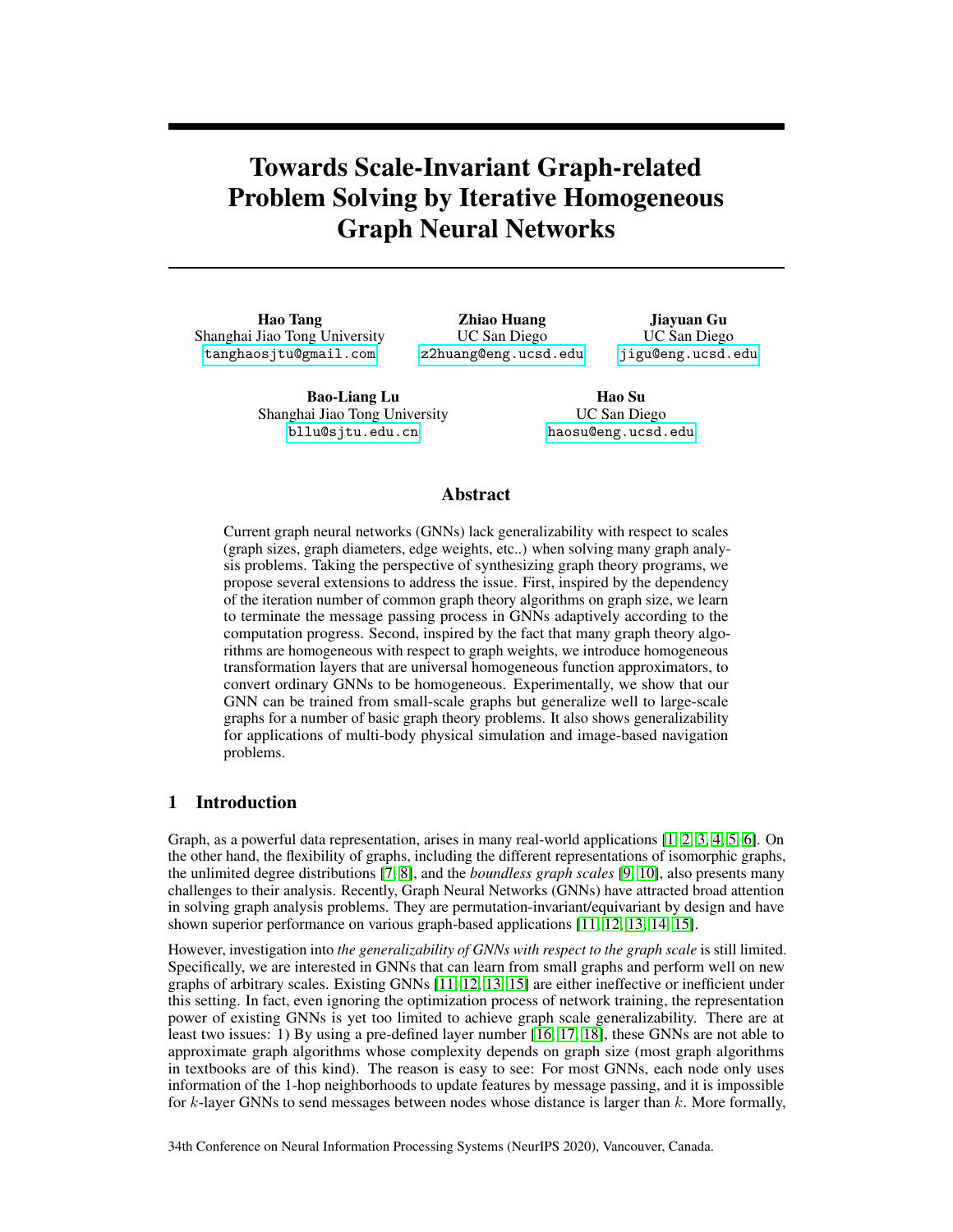and [8, 24) during evaluations. The distributions of node numbers remain the same. As claimed, our models successfully generalize to graphs of different magnitudes with far better performance than baselines. Notably, the Homo-Path model even achieves the same performance (relative loss 0.03) for all scales of magnitudes, which experientially supports Theorem 1. The Iter-Homo-Path model performs slightly worse because the sigmoid function in the iterative module is not homogeneous.

Interpreting stopping criterion learned by the iterative module. We show that our Iter-Homo-Path model learned the optimal stopping criterion for the unweighted shortest path problem in Figure 4. Typically, to accurately predict the shortest path of lengths d on undirected graphs, the iteration number of GNN layers is at least  $d/2$  due to the message passing nature of GNNs (see Appendix for details). Our iterative module learned such optimal stopping criterion. The Iter-Homo-Path model adaptively increases the iteration numbers w.r.t. the distances and, moreover, stops timely when the information is enough.

#### 5.2 General reasoning tasks

Physical simulation. We evaluate the generalizability of our models by predicting the moving patterns between objects in a physical simulator. We consider an environment called *Newton's ball*: all balls with the same mass lie on a friction-free pathway. With the ball at one end moving towards others, our model needs to predict the motion of the balls of both ends at the next time step. The metric is the mean squared error. Models are trained in worlds with [4, 34) balls and are tested in worlds with 100 balls. As shown in Table 1, the Iter-Homo-Path model and the Iter-Path model significantly outperform others, demonstrating the advantages of our iterative module for improving generalizability w.r.t. scales. The homogeneous prior is not as beneficial since the target functions are not homogeneous.

Symbolic PacMan. To show that our iterative module can improve reinforcement learning, we construct a symbolic PacMan environment with similar rules to the PacMan in Atari [45]. The environment contains a map with dots and walls. The agent needs to figure out a policy to quickly "eat" all dots while avoiding walls on the map to maximize the return. We abstract the observations as graphs using the landmark [46]. We adopt Double Q learning [47] to train the policy. Unlike original Atari PacMan, our environment is more challenging because we randomly sample the layout of maps for each episode, and we test models in environments with different numbers of dots and walls. The agent cannot just remember one policy to be successful but needs to learn to do planning according to the current observation. The metric is the success rate of eating dots. Our IterGNN (97.5%) performs much better than baselines, CNN (91.5%) and PointNet [48] (29.0%). Our IterGNN also shows remarkable generalizability among different environment settings. For example, even though the models are trained in environments with 10 dots and 8 walls, our IterGNN achieves a 94.0% success rate in environments with 10 dots and 15 walls and 93.4% in environments with 8 walls and 20 dots. The tables that list the generalization performance of IterGNN, GCN, and PointNet in 30 different settings of environments are presented in the Appendix to save space.

Image-based navigation. We show the benefits of the differentiability of a generalizable reasoning module using the image-based navigation task. The model needs to plan the shortest route from the source to target on 2D images with obstacles. However, the properties of obstacles are not given as a prior, and the model must discover them based on image patterns during training. We simplify the task by defining each pixel as obstacles merely according to its own pixel values. As stated in Table 1, our Iter-Homo-Path model successfully solves the task. The model achieves success rates larger than 90% for finding the shortest paths on images of size 16 16, and 33 33, while it is only trained on images of size 10 10. All of our proposals help improve generalizability.

# 6 Conclusion

We propose an iterative module and the homogeneous prior to improve the generalizability of GNNs w.r.t. graph scales. Experiments show that our proposals do improve the generalizability for solving multiple graph-related problems and tasks.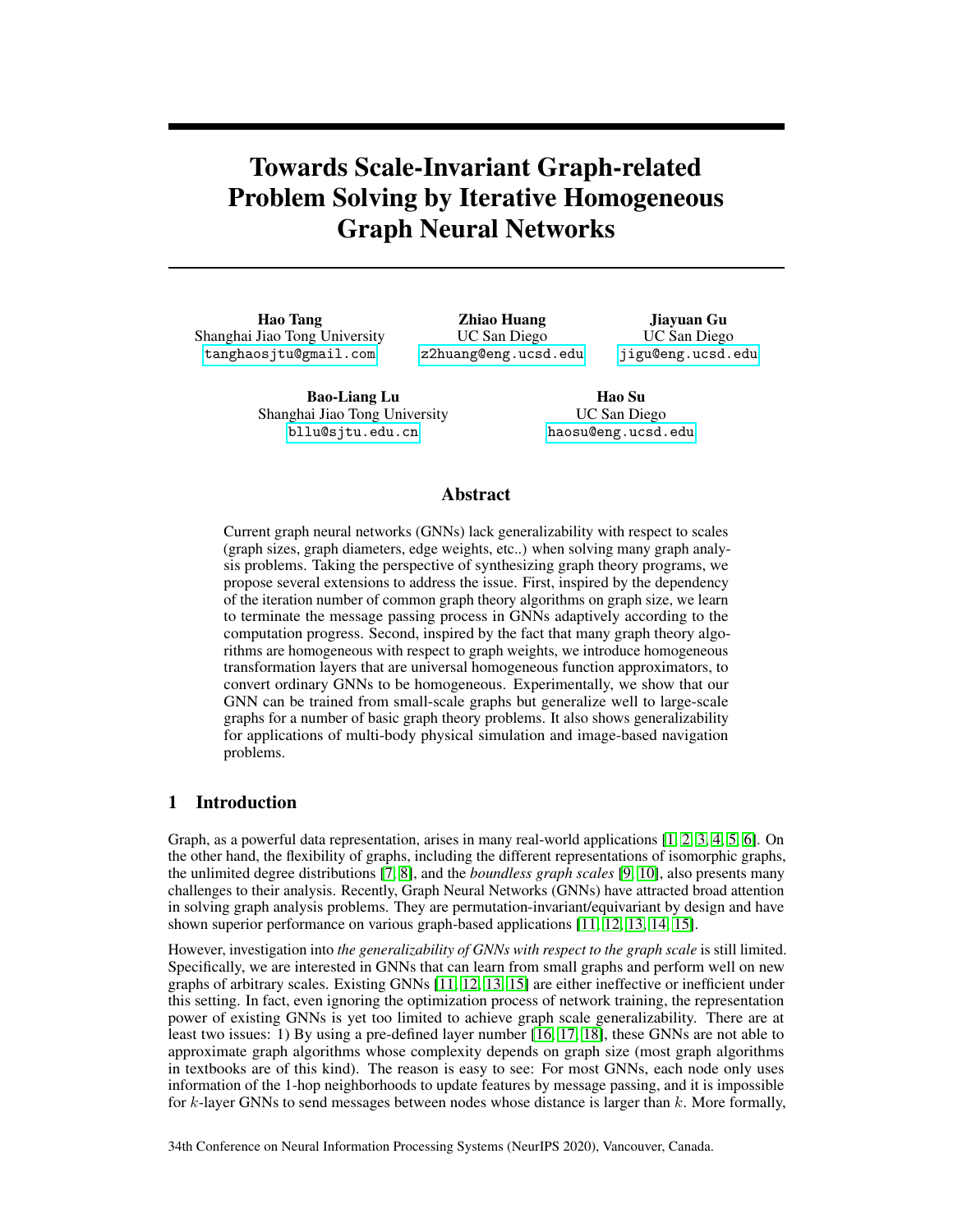## 7 Acknowledgements

H. Tang and B. -L. Lu were supported in part by the National Key Research and Development Program of China (2017YFB1002501), the National Natural Science Foundation of China (61673266 and 61976135), SJTU Trans-med Awards Research (WF540162605), the Fundamental Research Funds for the Central Universities, and the 111 Project. H. Su, Z. Huang, and J. Gu were supported by the NSF grant IIS-1764078. We specially thank Zhizuo Zhang, Zhiwei Jia, and Chutong Yang for the useful discussions, and Wei-Long Zheng, Bingyu Shen and Yuming Zhao for reviewing the paper prior to submission.

## 8 Broader Impact

Our methods provide general tools to improve the generalizability of GNNs with respect to scales. This work can thus be applied to many applications of GNNs, such as natural language processing, traffic prediction, and recommendation systems. They have many potential positive impact in the society. For example, better traffic prediction enables shorter traffic time for all vehicles, which could help protect the environment. Improved recommendation system could promote the transition of information for more productivity and more fairness. Moreover, by improving the generalizability with respect to scales, models can be trained on graphs of much smaller scales than reality. It reduces the cost of collecting and storing large datasets with large samples, which can then alleviate the risks of violating privacy and of harming the environment. On the other hand, this work may also have negative consequences. Improving techniques in the field of natural language processing can help monitor and collect personal information of each individual. Stronger recommendation system can also hurt the fairness as different information targeted to different groups of people.

# **References**

- [1] Schlichtkrull, M., T. N. Kipf, P. Bloem, et al. Modeling relational data with graph convolutional networks. In *European Semantic Web Conference*, pages 593–607. Springer, 2018.
- [2] Shang, C., Y. Tang, J. Huang, et al. End-to-end structure-aware convolutional networks for knowledge base completion. In *Proceedings of the AAAI Conference on Artificial Intelligence*, vol. 33, pages 3060–3067. 2019.
- [3] Fan, W., Y. Ma, Q. Li, et al. Graph neural networks for social recommendation. In *The World Wide Web Conference*, pages 417–426. ACM, 2019.
- [4] Battaglia, P., R. Pascanu, M. Lai, et al. Interaction networks for learning about objects, relations and physics. In *Advances in Neural Information Processing Systems*, pages 4502–4510. 2016.
- [5] Sanchez-Gonzalez, A., N. Heess, J. T. Springenberg, et al. Graph networks as learnable physics engines for inference and control. In J. Dy, A. Krause, eds., *Proceedings of the 35th International Conference on Machine Learning*, vol. 80 of *Proceedings of Machine Learning Research*, pages 4470–4479. PMLR, Stockholmsmässan, Stockholm Sweden, 2018.
- [6] Liu, X., Z. Luo, H. Huang. Jointly multiple events extraction via attention-based graph information aggregation. In *Proceedings of the 2018 Conference on Empirical Methods in Natural Language Processing*, pages 1247–1256. 2018.
- [7] Muchnik, L., S. Pei, L. C. Parra, et al. Origins of power-law degree distribution in the heterogeneity of human activity in social networks. *Scientific reports*, 3:1783, 2013.
- [8] Seshadri, M., S. Machiraju, A. Sridharan, et al. Mobile call graphs: beyond power-law and lognormal distributions. In *Proceedings of the 14th ACM SIGKDD international conference on Knowledge Discovery and Data Mining*, pages 596–604. ACM, 2008.
- [9] Ying, R., R. He, K. Chen, et al. Graph convolutional neural networks for web-scale recommender systems. In *Proceedings of the 24th ACM SIGKDD International Conference on Knowledge Discovery & Data Mining*, pages 974–983. ACM, 2018.
- [10] Zang, C., P. Cui, C. Faloutsos, et al. On power law growth of social networks. *IEEE Transactions on Knowledge and Data Engineering*, 30(9):1727–1740, 2018.
- [11] Wu, Z., S. Pan, F. Chen, et al. A comprehensive survey on graph neural networks. *IEEE Transactions on Neural Networks and Learning Systems*, pages 1–21, 2020.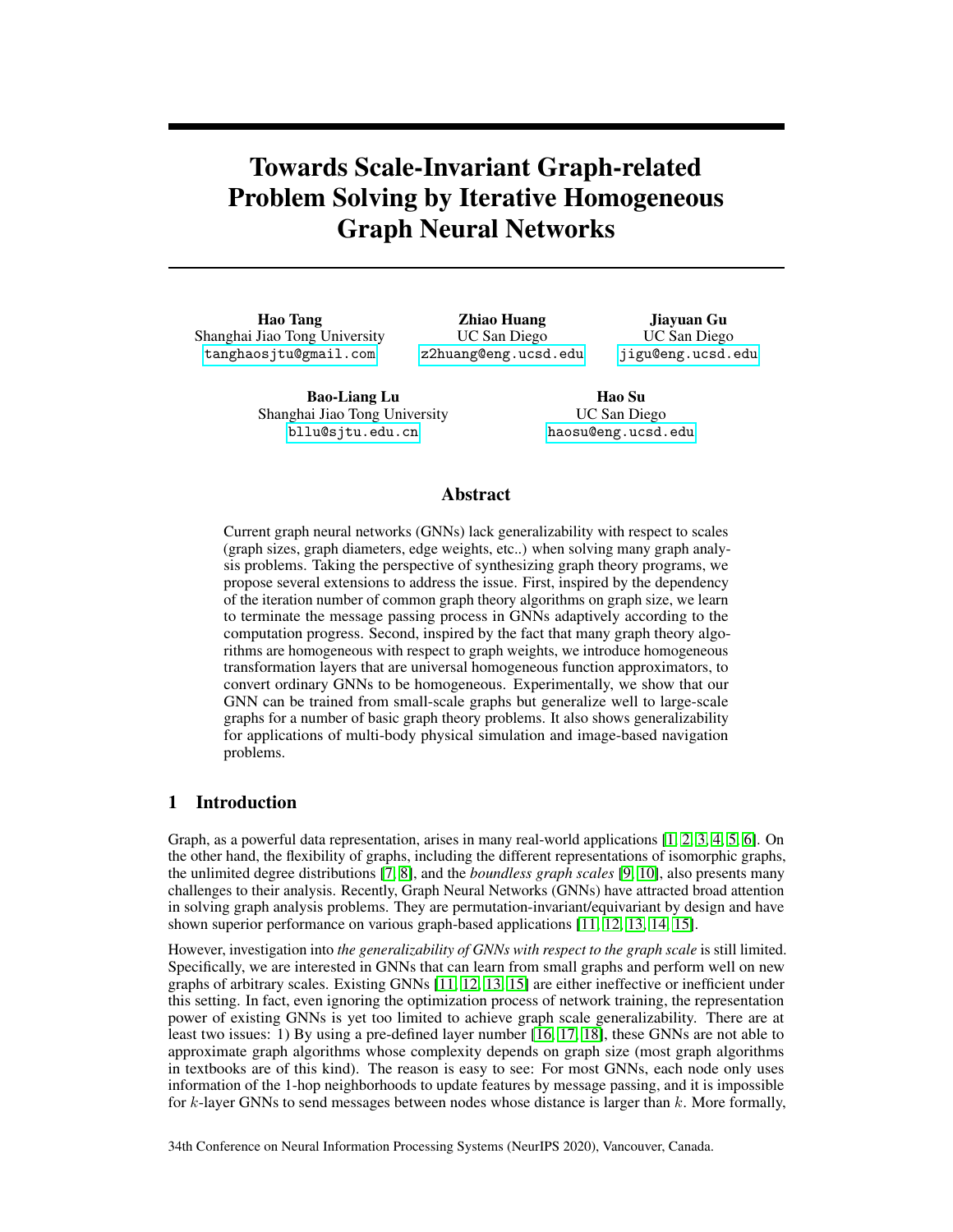- [12] Zhang, Z., P. Cui, W. Zhu. Deep learning on graphs: A survey. *IEEE Transactions on Knowledge and Data Engineering*, pages 1–1, 2020.
- [13] Zhou, J., G. Cui, Z. Zhang, et al. Graph neural networks: A review of methods and applications. *arXiv preprint arXiv:1812.08434*, 2018.
- [14] Gilmer, J., S. S. Schoenholz, P. F. Riley, et al. Neural message passing for quantum chemistry. In *Proceedings of the 34th International Conference on Machine Learning-Volume 70*, pages 1263–1272. JMLR. org, 2017.
- [15] Battaglia, P. W., J. B. Hamrick, V. Bapst, et al. Relational inductive biases, deep learning, and graph networks. *arXiv preprint arXiv:1806.01261*, 2018.
- [16] Li, Y., R. S. Zemel. Mean field networks. *ICML workshop on Learning Tractable Probabilistic Models*, 2014.
- [17] Zheng, S., S. Jayasumana, B. Romera-Paredes, et al. Conditional random fields as recurrent neural networks. In *Proceedings of the IEEE international conference on computer vision*, pages 1529–1537. 2015.
- [18] Tamar, A., Y. Wu, G. Thomas, et al. Value iteration networks. In *Advances in Neural Information Processing Systems*, pages 2154–2162. 2016.
- [19] Loukas, A. What graph neural networks cannot learn: depth vs width. In *International Conference on Learning Representations*. 2020.
- [20] Goyal, P., E. Ferrara. Graph embedding techniques, applications, and performance: A survey. *Knowledge-Based Systems*, 151:78–94, 2018.
- [21] Graves, A., G. Wayne, I. Danihelka. Neural turing machines. *arXiv preprint arXiv:1410.5401*, 2014.
- [22] Graves, A., G. Wayne, M. Reynolds, et al. Hybrid computing using a neural network with dynamic external memory. *Nature*, 538(7626):471, 2016.
- [23] Dong, H., J. Mao, T. Lin, et al. Neural logic machines. In *International Conference on Learning Representations*. 2019.
- [24] Veličković, P., R. Ying, M. Padovano, et al. Neural execution of graph algorithms. In *International Conference on Learning Representations*. 2020.
- [25] Veličković, P., L. Buesing, M. C. Overlan, et al. Pointer graph networks. 2020.
- [26] Xu, K., J. Li, M. Zhang, et al. What can neural networks reason about? In *International Conference on Learning Representations*. 2020.
- [27] Dijkstra, E. W. A note on two problems in connexion with graphs. *Numerische mathematik*, 1(1):269–271, 1959.
- [28] Blei, D. M., A. Kucukelbir, J. D. McAuliffe. Variational inference: A review for statisticians. *Journal of the American statistical Association*, 112(518):859–877, 2017.
- [29] Selsam, D., M. Lamm, B. Bünz, et al. Learning a SAT solver from single-bit supervision. In *International Conference on Learning Representations*. 2019.
- [30] Dai, H., Z. Kozareva, B. Dai, et al. Learning steady-states of iterative algorithms over graphs. In *International Conference on Machine Learning*, pages 1114–1122. 2018.
- [31] Zhang, M., Z. Cui, M. Neumann, et al. An end-to-end deep learning architecture for graph classification. In *AAAI*, pages 4438–4445. 2018.
- [32] Gao, H., S. Ji. Graph u-nets. *International Conference on Machine Learning (ICML)*, 2019.
- [33] Cangea, C., P. Veličković, N. Jovanović, et al. Towards sparse hierarchical graph classifiers. *the 32nd Annual Conference on Neural Information Processing Systems (NeurIPS)*, 2018.
- [34] Graves, A. Adaptive computation time for recurrent neural networks. *arXiv preprint arXiv:1603.08983*, 2016.
- [35] Figurnov, M., M. D. Collins, Y. Zhu, et al. Spatially adaptive computation time for residual networks. In *Proceedings of the IEEE Conference on Computer Vision and Pattern Recognition*, pages 1039–1048. 2017.
- [36] Eyzaguirre, C., A. Soto. Differentiable adaptive computation time for visual reasoning. In *Proceedings of the IEEE Conference on Computer Vision and Pattern Recognition*. 2020.